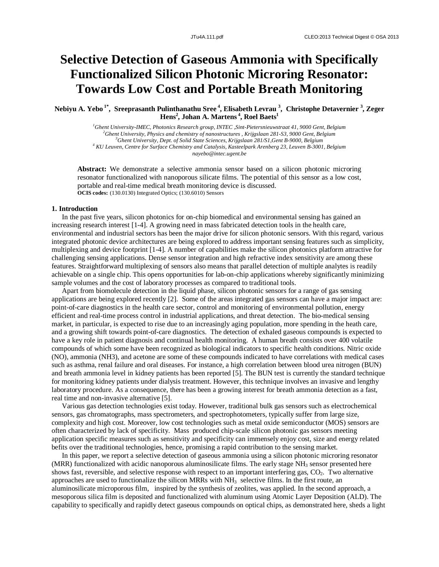## **Selective Detection of Gaseous Ammonia with Specifically Functionalized Silicon Photonic Microring Resonator: Towards Low Cost and Portable Breath Monitoring**

**Nebiyu A. Yebo 1\* , Sreeprasanth Pulinthanathu Sree <sup>4</sup> , Elisabeth Levrau <sup>3</sup> , Christophe Detavernier <sup>3</sup> , Zeger Hens<sup>2</sup> , Johan A. Martens <sup>4</sup> , Roel Baets<sup>1</sup>**

> *Ghent University-IMEC, Photonics Research group, INTEC ,Sint-Pietersnieuwstraat 41, 9000 Gent, Belgium Ghent University, Physics and chemistry of nanostructures , Krijgslaan 281-S3, 9000 Gent, Belgium Ghent University, Dept. of Solid State Sciences, Krijgslaan 281/S1,Gent B-9000, Belgium KU Leuven, Centre for Surface Chemistry and Catalysis, Kasteelpark Arenberg 23, Leuven B-3001, Belgium nayebo@intec.ugent.be*

**Abstract:** We demonstrate a selective ammonia sensor based on a silicon photonic microring resonator functionalized with nanoporous silicate films. The potential of this sensor as a low cost, portable and real-time medical breath monitoring device is discussed. **OCIS codes:** (130.0130) Integrated Optics; (130.6010) Sensors

## **1. Introduction**

In the past five years, silicon photonics for on-chip biomedical and environmental sensing has gained an increasing research interest [1-4]. A growing need in mass fabricated detection tools in the health care, environmental and industrial sectors has been the major drive for silicon photonic sensors. With this regard, various integrated photonic device architectures are being explored to address important sensing features such as simplicity, multiplexing and device footprint [1-4]. A number of capabilities make the silicon photonics platform attractive for challenging sensing applications. Dense sensor integration and high refractive index sensitivity are among these features. Straightforward multiplexing of sensors also means that parallel detection of multiple analytes is readily achievable on a single chip. This opens opportunities for lab-on-chip applications whereby significantly minimizing sample volumes and the cost of laboratory processes as compared to traditional tools.

Apart from biomolecule detection in the liquid phase, silicon photonic sensors for a range of gas sensing applications are being explored recently [2]. Some of the areas integrated gas sensors can have a major impact are: point-of-care diagnostics in the health care sector, control and monitoring of environmental pollution, energy efficient and real-time process control in industrial applications, and threat detection. The bio-medical sensing market, in particular, is expected to rise due to an increasingly aging population, more spending in the heath care, and a growing shift towards point-of-care diagnostics. The detection of exhaled gaseous compounds is expected to have a key role in patient diagnosis and continual health monitoring. A human breath consists over 400 volatile compounds of which some have been recognized as biological indicators to specific health conditions. Nitric oxide (NO), ammonia (NH3), and acetone are some of these compounds indicated to have correlations with medical cases such as asthma, renal failure and oral diseases. For instance, a high correlation between blood urea nitrogen (BUN) and breath ammonia level in kidney patients has been reported [5]. The BUN test is currently the standard technique for monitoring kidney patients under dialysis treatment. However, this technique involves an invasive and lengthy laboratory procedure. As a consequence, there has been a growing interest for breath ammonia detection as a fast, real time and non-invasive alternative [5].

Various gas detection technologies exist today. However, traditional bulk gas sensors such as electrochemical sensors, gas chromatographs, mass spectrometers, and spectrophotometers, typically suffer from large size, complexity and high cost. Moreover, low cost technologies such as metal oxide semiconductor (MOS) sensors are often characterized by lack of specificity. Mass produced chip-scale silicon photonic gas sensors meeting application specific measures such as sensitivity and specificity can immensely enjoy cost, size and energy related befits over the traditional technologies, hence, promising a rapid contribution to the sensing market.

In this paper, we report a selective detection of gaseous ammonia using a silicon photonic microring resonator (MRR) functionalized with acidic nanoporous aluminosilicate films. The early stage  $NH<sub>3</sub>$  sensor presented here shows fast, reversible, and selective response with respect to an important interfering gas,  $CO<sub>2</sub>$ . Two alternative approaches are used to functionalize the silicon MRRs with  $NH<sub>3</sub>$  selective films. In the first route, an aluminosilicate microporous film, inspired by the synthesis of zeolites, was applied. In the second approach, a mesoporous silica film is deposited and functionalized with aluminum using Atomic Layer Deposition (ALD). The capability to specifically and rapidly detect gaseous compounds on optical chips, as demonstrated here, sheds a light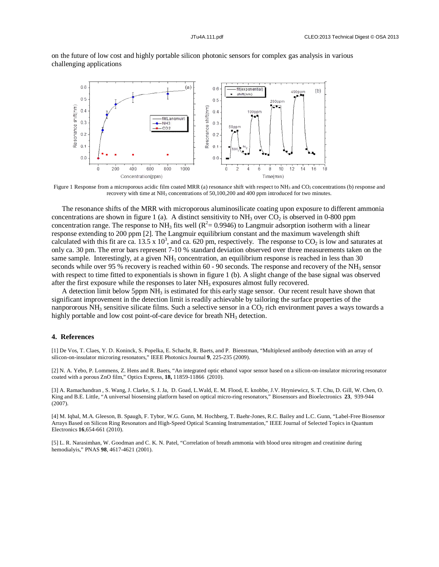on the future of low cost and highly portable silicon photonic sensors for complex gas analysis in various challenging applications



Figure 1 Response from a microporous acidic film coated MRR (a) resonance shift with respect to NH<sub>3</sub> and CO<sub>2</sub> concentrations (b) response and recovery with time at NH<sub>3</sub> concentrations of 50,100,200 and 400 ppm introduced for two minutes.

The resonance shifts of the MRR with microporous aluminosilicate coating upon exposure to different ammonia concentrations are shown in figure 1 (a). A distinct sensitivity to  $NH_3$  over  $CO_2$  is observed in 0-800 ppm concentration range. The response to NH<sub>3</sub> fits well ( $R^2$  = 0.9946) to Langmuir adsorption isotherm with a linear response extending to 200 ppm [2]. The Langmuir equilibrium constant and the maximum wavelength shift calculated with this fit are ca. 13.5 x  $10^3$ , and ca. 620 pm, respectively. The response to  $CO_2$  is low and saturates at only ca. 30 pm. The error bars represent 7-10 % standard deviation observed over three measurements taken on the same sample. Interestingly, at a given  $NH<sub>3</sub>$  concentration, an equilibrium response is reached in less than 30 seconds while over 95 % recovery is reached within 60 - 90 seconds. The response and recovery of the NH<sub>3</sub> sensor with respect to time fitted to exponentials is shown in figure 1 (b). A slight change of the base signal was observed after the first exposure while the responses to later NH<sub>3</sub> exposures almost fully recovered.

A detection limit below 5ppm  $NH<sub>3</sub>$  is estimated for this early stage sensor. Our recent result have shown that significant improvement in the detection limit is readily achievable by tailoring the surface properties of the nanpororous  $NH_3$  sensitive silicate films. Such a selective sensor in a  $CO_2$  rich environment paves a ways towards a highly portable and low cost point-of-care device for breath NH<sub>3</sub> detection.

## **4. References**

[1] De Vos, T. Claes, Y. D. Koninck, S. Popelka, E. Schacht, R. Baets, and P. Bienstman, "Multiplexed antibody detection with an array of silicon-on-insulator microring resonators," IEEE Photonics Journal **9**, 225-235 (2009).

[2] N. A. Yebo, P. Lommens, Z. Hens and R. Baets, "An integrated optic ethanol vapor sensor based on a silicon-on-insulator microring resonator coated with a porous ZnO film," Optics Express, **18,** 11859-11866 (2010).

[3] A. Ramachandran , S. Wang, J. Clarke, S. J. Ja, D. Goad, L.Wald, E. M. Flood, E. knobbe, J.V. Hryniewicz, S. T. Chu, D. Gill, W. Chen, O. King and B.E. Little, "A universal biosensing platform based on optical micro-ring resonators," Biosensors and Bioelectronics **23**, 939-944 (2007).

[4] M. Iqbal, M.A. Gleeson, B. Spaugh, F. Tybor, W.G. Gunn, M. Hochberg, T. Baehr-Jones, R.C. Bailey and L.C. Gunn, "Label-Free Biosensor Arrays Based on Silicon Ring Resonators and High-Speed Optical Scanning Instrumentation," IEEE Journal of Selected Topics in Quantum Electronics **16**,654-661 (2010).

[5] L. R. Narasimhan, W. Goodman and C. K. N. Patel, "Correlation of breath ammonia with blood urea nitrogen and creatinine during hemodialyis," PNAS **98**, 4617-4621 (2001).